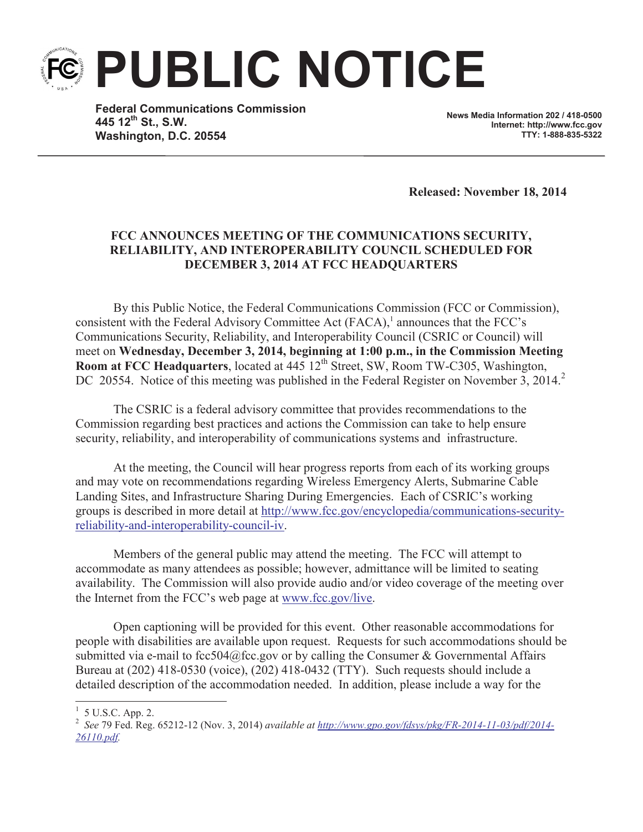**PUBLIC NOTICE**

**Federal Communications Commission 445 12th St., S.W. Washington, D.C. 20554**

**News Media Information 202 / 418-0500 Internet: http://www.fcc.gov TTY: 1-888-835-5322**

**Released: November 18, 2014**

## **FCC ANNOUNCES MEETING OF THE COMMUNICATIONS SECURITY, RELIABILITY, AND INTEROPERABILITY COUNCIL SCHEDULED FOR DECEMBER 3, 2014 AT FCC HEADQUARTERS**

By this Public Notice, the Federal Communications Commission (FCC or Commission), consistent with the Federal Advisory Committee Act  $(FACA)$ ,<sup>1</sup> announces that the FCC's Communications Security, Reliability, and Interoperability Council (CSRIC or Council) will meet on **Wednesday, December 3, 2014, beginning at 1:00 p.m., in the Commission Meeting**  Room at FCC Headquarters, located at 445 12<sup>th</sup> Street, SW, Room TW-C305, Washington, DC 20554. Notice of this meeting was published in the Federal Register on November 3, 2014.<sup>2</sup>

The CSRIC is a federal advisory committee that provides recommendations to the Commission regarding best practices and actions the Commission can take to help ensure security, reliability, and interoperability of communications systems and infrastructure.

At the meeting, the Council will hear progress reports from each of its working groups and may vote on recommendations regarding Wireless Emergency Alerts, Submarine Cable Landing Sites, and Infrastructure Sharing During Emergencies. Each of CSRIC's working groups is described in more detail at http://www.fcc.gov/encyclopedia/communications-securityreliability-and-interoperability-council-iv.

Members of the general public may attend the meeting. The FCC will attempt to accommodate as many attendees as possible; however, admittance will be limited to seating availability. The Commission will also provide audio and/or video coverage of the meeting over the Internet from the FCC's web page at www.fcc.gov/live.

Open captioning will be provided for this event. Other reasonable accommodations for people with disabilities are available upon request. Requests for such accommodations should be submitted via e-mail to fcc504@fcc.gov or by calling the Consumer & Governmental Affairs Bureau at (202) 418-0530 (voice), (202) 418-0432 (TTY). Such requests should include a detailed description of the accommodation needed. In addition, please include a way for the

 $1\,$  5 U.S.C. App. 2.

<sup>2</sup> *See* 79 Fed. Reg. 65212-12 (Nov. 3, 2014) *available at http://www.gpo.gov/fdsys/pkg/FR-2014-11-03/pdf/2014- 26110.pdf.*